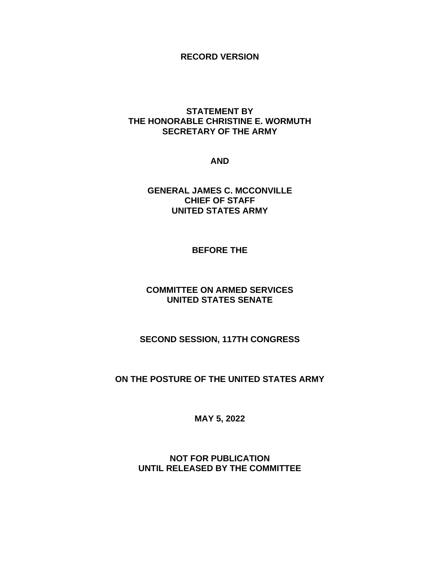### **RECORD VERSION**

### **STATEMENT BY THE HONORABLE CHRISTINE E. WORMUTH SECRETARY OF THE ARMY**

**AND**

**GENERAL JAMES C. MCCONVILLE CHIEF OF STAFF UNITED STATES ARMY**

### **BEFORE THE**

### **COMMITTEE ON ARMED SERVICES UNITED STATES SENATE**

# **SECOND SESSION, 117TH CONGRESS**

# **ON THE POSTURE OF THE UNITED STATES ARMY**

**MAY 5, 2022**

**NOT FOR PUBLICATION UNTIL RELEASED BY THE COMMITTEE**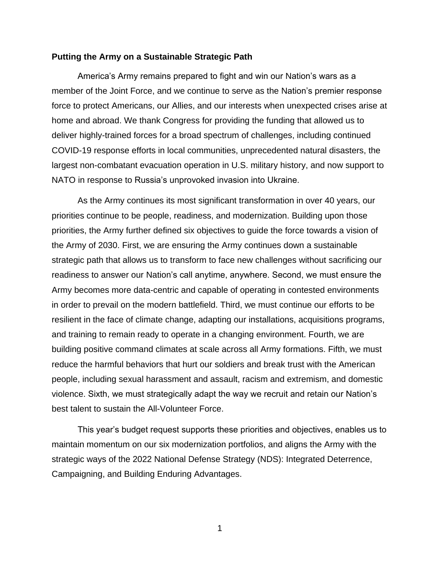#### **Putting the Army on a Sustainable Strategic Path**

America's Army remains prepared to fight and win our Nation's wars as a member of the Joint Force, and we continue to serve as the Nation's premier response force to protect Americans, our Allies, and our interests when unexpected crises arise at home and abroad. We thank Congress for providing the funding that allowed us to deliver highly-trained forces for a broad spectrum of challenges, including continued COVID-19 response efforts in local communities, unprecedented natural disasters, the largest non-combatant evacuation operation in U.S. military history, and now support to NATO in response to Russia's unprovoked invasion into Ukraine.

As the Army continues its most significant transformation in over 40 years, our priorities continue to be people, readiness, and modernization. Building upon those priorities, the Army further defined six objectives to guide the force towards a vision of the Army of 2030. First, we are ensuring the Army continues down a sustainable strategic path that allows us to transform to face new challenges without sacrificing our readiness to answer our Nation's call anytime, anywhere. Second, we must ensure the Army becomes more data-centric and capable of operating in contested environments in order to prevail on the modern battlefield. Third, we must continue our efforts to be resilient in the face of climate change, adapting our installations, acquisitions programs, and training to remain ready to operate in a changing environment. Fourth, we are building positive command climates at scale across all Army formations. Fifth, we must reduce the harmful behaviors that hurt our soldiers and break trust with the American people, including sexual harassment and assault, racism and extremism, and domestic violence. Sixth, we must strategically adapt the way we recruit and retain our Nation's best talent to sustain the All-Volunteer Force.

This year's budget request supports these priorities and objectives, enables us to maintain momentum on our six modernization portfolios, and aligns the Army with the strategic ways of the 2022 National Defense Strategy (NDS): Integrated Deterrence, Campaigning, and Building Enduring Advantages.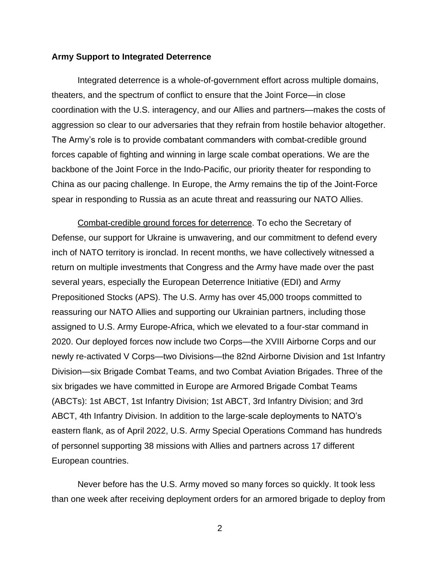#### **Army Support to Integrated Deterrence**

Integrated deterrence is a whole-of-government effort across multiple domains, theaters, and the spectrum of conflict to ensure that the Joint Force—in close coordination with the U.S. interagency, and our Allies and partners—makes the costs of aggression so clear to our adversaries that they refrain from hostile behavior altogether. The Army's role is to provide combatant commanders with combat-credible ground forces capable of fighting and winning in large scale combat operations. We are the backbone of the Joint Force in the Indo-Pacific, our priority theater for responding to China as our pacing challenge. In Europe, the Army remains the tip of the Joint-Force spear in responding to Russia as an acute threat and reassuring our NATO Allies.

Combat-credible ground forces for deterrence. To echo the Secretary of Defense, our support for Ukraine is unwavering, and our commitment to defend every inch of NATO territory is ironclad. In recent months, we have collectively witnessed a return on multiple investments that Congress and the Army have made over the past several years, especially the European Deterrence Initiative (EDI) and Army Prepositioned Stocks (APS). The U.S. Army has over 45,000 troops committed to reassuring our NATO Allies and supporting our Ukrainian partners, including those assigned to U.S. Army Europe-Africa, which we elevated to a four-star command in 2020. Our deployed forces now include two Corps—the XVIII Airborne Corps and our newly re-activated V Corps—two Divisions—the 82nd Airborne Division and 1st Infantry Division—six Brigade Combat Teams, and two Combat Aviation Brigades. Three of the six brigades we have committed in Europe are Armored Brigade Combat Teams (ABCTs): 1st ABCT, 1st Infantry Division; 1st ABCT, 3rd Infantry Division; and 3rd ABCT, 4th Infantry Division. In addition to the large-scale deployments to NATO's eastern flank, as of April 2022, U.S. Army Special Operations Command has hundreds of personnel supporting 38 missions with Allies and partners across 17 different European countries.

Never before has the U.S. Army moved so many forces so quickly. It took less than one week after receiving deployment orders for an armored brigade to deploy from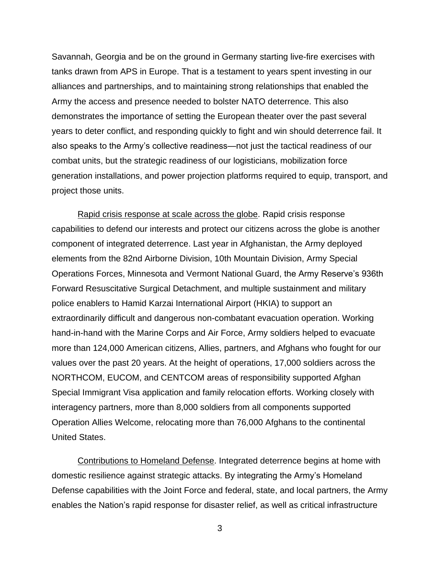Savannah, Georgia and be on the ground in Germany starting live-fire exercises with tanks drawn from APS in Europe. That is a testament to years spent investing in our alliances and partnerships, and to maintaining strong relationships that enabled the Army the access and presence needed to bolster NATO deterrence. This also demonstrates the importance of setting the European theater over the past several years to deter conflict, and responding quickly to fight and win should deterrence fail. It also speaks to the Army's collective readiness—not just the tactical readiness of our combat units, but the strategic readiness of our logisticians, mobilization force generation installations, and power projection platforms required to equip, transport, and project those units.

Rapid crisis response at scale across the globe. Rapid crisis response capabilities to defend our interests and protect our citizens across the globe is another component of integrated deterrence. Last year in Afghanistan, the Army deployed elements from the 82nd Airborne Division, 10th Mountain Division, Army Special Operations Forces, Minnesota and Vermont National Guard, the Army Reserve's 936th Forward Resuscitative Surgical Detachment, and multiple sustainment and military police enablers to Hamid Karzai International Airport (HKIA) to support an extraordinarily difficult and dangerous non-combatant evacuation operation. Working hand-in-hand with the Marine Corps and Air Force, Army soldiers helped to evacuate more than 124,000 American citizens, Allies, partners, and Afghans who fought for our values over the past 20 years. At the height of operations, 17,000 soldiers across the NORTHCOM, EUCOM, and CENTCOM areas of responsibility supported Afghan Special Immigrant Visa application and family relocation efforts. Working closely with interagency partners, more than 8,000 soldiers from all components supported Operation Allies Welcome, relocating more than 76,000 Afghans to the continental United States.

Contributions to Homeland Defense. Integrated deterrence begins at home with domestic resilience against strategic attacks. By integrating the Army's Homeland Defense capabilities with the Joint Force and federal, state, and local partners, the Army enables the Nation's rapid response for disaster relief, as well as critical infrastructure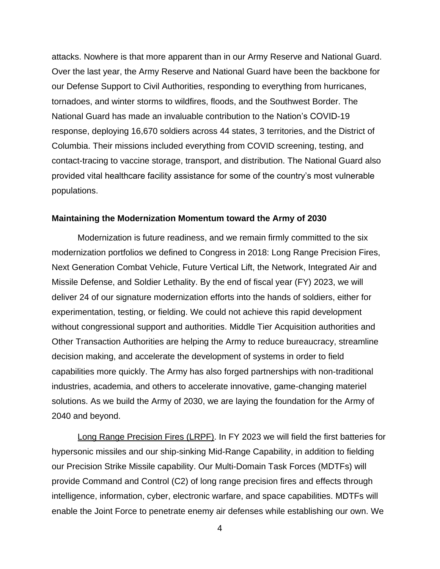attacks. Nowhere is that more apparent than in our Army Reserve and National Guard. Over the last year, the Army Reserve and National Guard have been the backbone for our Defense Support to Civil Authorities, responding to everything from hurricanes, tornadoes, and winter storms to wildfires, floods, and the Southwest Border. The National Guard has made an invaluable contribution to the Nation's COVID-19 response, deploying 16,670 soldiers across 44 states, 3 territories, and the District of Columbia. Their missions included everything from COVID screening, testing, and contact-tracing to vaccine storage, transport, and distribution. The National Guard also provided vital healthcare facility assistance for some of the country's most vulnerable populations.

### **Maintaining the Modernization Momentum toward the Army of 2030**

Modernization is future readiness, and we remain firmly committed to the six modernization portfolios we defined to Congress in 2018: Long Range Precision Fires, Next Generation Combat Vehicle, Future Vertical Lift, the Network, Integrated Air and Missile Defense, and Soldier Lethality. By the end of fiscal year (FY) 2023, we will deliver 24 of our signature modernization efforts into the hands of soldiers, either for experimentation, testing, or fielding. We could not achieve this rapid development without congressional support and authorities. Middle Tier Acquisition authorities and Other Transaction Authorities are helping the Army to reduce bureaucracy, streamline decision making, and accelerate the development of systems in order to field capabilities more quickly. The Army has also forged partnerships with non-traditional industries, academia, and others to accelerate innovative, game-changing materiel solutions. As we build the Army of 2030, we are laying the foundation for the Army of 2040 and beyond.

Long Range Precision Fires (LRPF). In FY 2023 we will field the first batteries for hypersonic missiles and our ship-sinking Mid-Range Capability, in addition to fielding our Precision Strike Missile capability. Our Multi-Domain Task Forces (MDTFs) will provide Command and Control (C2) of long range precision fires and effects through intelligence, information, cyber, electronic warfare, and space capabilities. MDTFs will enable the Joint Force to penetrate enemy air defenses while establishing our own. We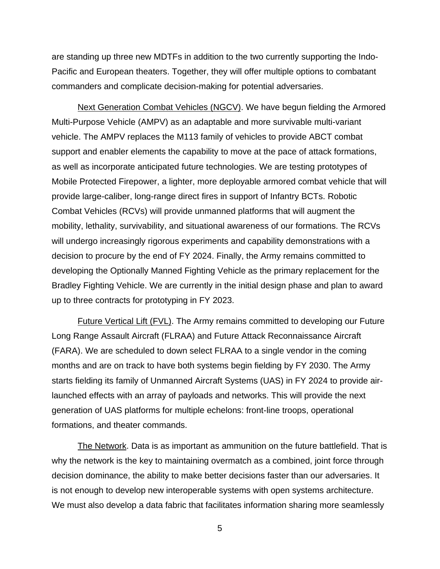are standing up three new MDTFs in addition to the two currently supporting the Indo-Pacific and European theaters. Together, they will offer multiple options to combatant commanders and complicate decision-making for potential adversaries.

Next Generation Combat Vehicles (NGCV). We have begun fielding the Armored Multi-Purpose Vehicle (AMPV) as an adaptable and more survivable multi-variant vehicle. The AMPV replaces the M113 family of vehicles to provide ABCT combat support and enabler elements the capability to move at the pace of attack formations, as well as incorporate anticipated future technologies. We are testing prototypes of Mobile Protected Firepower, a lighter, more deployable armored combat vehicle that will provide large-caliber, long-range direct fires in support of Infantry BCTs. Robotic Combat Vehicles (RCVs) will provide unmanned platforms that will augment the mobility, lethality, survivability, and situational awareness of our formations. The RCVs will undergo increasingly rigorous experiments and capability demonstrations with a decision to procure by the end of FY 2024. Finally, the Army remains committed to developing the Optionally Manned Fighting Vehicle as the primary replacement for the Bradley Fighting Vehicle. We are currently in the initial design phase and plan to award up to three contracts for prototyping in FY 2023.

Future Vertical Lift (FVL). The Army remains committed to developing our Future Long Range Assault Aircraft (FLRAA) and Future Attack Reconnaissance Aircraft (FARA). We are scheduled to down select FLRAA to a single vendor in the coming months and are on track to have both systems begin fielding by FY 2030. The Army starts fielding its family of Unmanned Aircraft Systems (UAS) in FY 2024 to provide airlaunched effects with an array of payloads and networks. This will provide the next generation of UAS platforms for multiple echelons: front-line troops, operational formations, and theater commands.

The Network. Data is as important as ammunition on the future battlefield. That is why the network is the key to maintaining overmatch as a combined, joint force through decision dominance, the ability to make better decisions faster than our adversaries. It is not enough to develop new interoperable systems with open systems architecture. We must also develop a data fabric that facilitates information sharing more seamlessly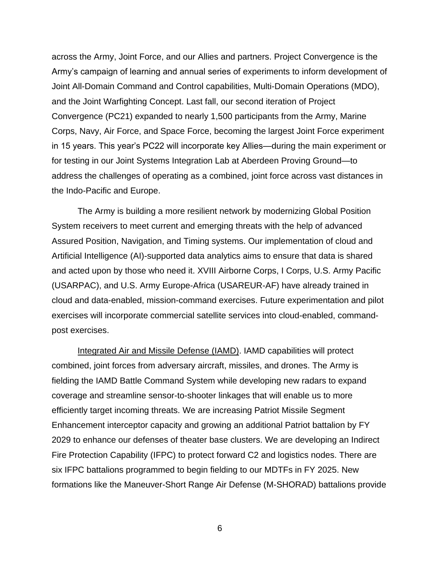across the Army, Joint Force, and our Allies and partners. Project Convergence is the Army's campaign of learning and annual series of experiments to inform development of Joint All-Domain Command and Control capabilities, Multi-Domain Operations (MDO), and the Joint Warfighting Concept. Last fall, our second iteration of Project Convergence (PC21) expanded to nearly 1,500 participants from the Army, Marine Corps, Navy, Air Force, and Space Force, becoming the largest Joint Force experiment in 15 years. This year's PC22 will incorporate key Allies—during the main experiment or for testing in our Joint Systems Integration Lab at Aberdeen Proving Ground—to address the challenges of operating as a combined, joint force across vast distances in the Indo-Pacific and Europe.

The Army is building a more resilient network by modernizing Global Position System receivers to meet current and emerging threats with the help of advanced Assured Position, Navigation, and Timing systems. Our implementation of cloud and Artificial Intelligence (AI)-supported data analytics aims to ensure that data is shared and acted upon by those who need it. XVIII Airborne Corps, I Corps, U.S. Army Pacific (USARPAC), and U.S. Army Europe-Africa (USAREUR-AF) have already trained in cloud and data-enabled, mission-command exercises. Future experimentation and pilot exercises will incorporate commercial satellite services into cloud-enabled, commandpost exercises.

Integrated Air and Missile Defense (IAMD). IAMD capabilities will protect combined, joint forces from adversary aircraft, missiles, and drones. The Army is fielding the IAMD Battle Command System while developing new radars to expand coverage and streamline sensor-to-shooter linkages that will enable us to more efficiently target incoming threats. We are increasing Patriot Missile Segment Enhancement interceptor capacity and growing an additional Patriot battalion by FY 2029 to enhance our defenses of theater base clusters. We are developing an Indirect Fire Protection Capability (IFPC) to protect forward C2 and logistics nodes. There are six IFPC battalions programmed to begin fielding to our MDTFs in FY 2025. New formations like the Maneuver-Short Range Air Defense (M-SHORAD) battalions provide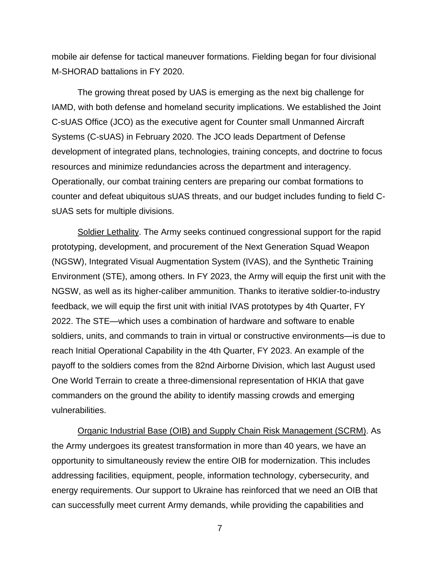mobile air defense for tactical maneuver formations. Fielding began for four divisional M-SHORAD battalions in FY 2020.

The growing threat posed by UAS is emerging as the next big challenge for IAMD, with both defense and homeland security implications. We established the Joint C-sUAS Office (JCO) as the executive agent for Counter small Unmanned Aircraft Systems (C-sUAS) in February 2020. The JCO leads Department of Defense development of integrated plans, technologies, training concepts, and doctrine to focus resources and minimize redundancies across the department and interagency. Operationally, our combat training centers are preparing our combat formations to counter and defeat ubiquitous sUAS threats, and our budget includes funding to field CsUAS sets for multiple divisions.

Soldier Lethality. The Army seeks continued congressional support for the rapid prototyping, development, and procurement of the Next Generation Squad Weapon (NGSW), Integrated Visual Augmentation System (IVAS), and the Synthetic Training Environment (STE), among others. In FY 2023, the Army will equip the first unit with the NGSW, as well as its higher-caliber ammunition. Thanks to iterative soldier-to-industry feedback, we will equip the first unit with initial IVAS prototypes by 4th Quarter, FY 2022. The STE—which uses a combination of hardware and software to enable soldiers, units, and commands to train in virtual or constructive environments—is due to reach Initial Operational Capability in the 4th Quarter, FY 2023. An example of the payoff to the soldiers comes from the 82nd Airborne Division, which last August used One World Terrain to create a three-dimensional representation of HKIA that gave commanders on the ground the ability to identify massing crowds and emerging vulnerabilities.

Organic Industrial Base (OIB) and Supply Chain Risk Management (SCRM). As the Army undergoes its greatest transformation in more than 40 years, we have an opportunity to simultaneously review the entire OIB for modernization. This includes addressing facilities, equipment, people, information technology, cybersecurity, and energy requirements. Our support to Ukraine has reinforced that we need an OIB that can successfully meet current Army demands, while providing the capabilities and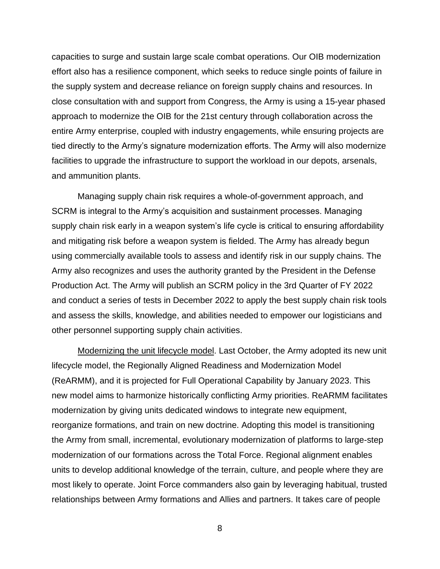capacities to surge and sustain large scale combat operations. Our OIB modernization effort also has a resilience component, which seeks to reduce single points of failure in the supply system and decrease reliance on foreign supply chains and resources. In close consultation with and support from Congress, the Army is using a 15-year phased approach to modernize the OIB for the 21st century through collaboration across the entire Army enterprise, coupled with industry engagements, while ensuring projects are tied directly to the Army's signature modernization efforts. The Army will also modernize facilities to upgrade the infrastructure to support the workload in our depots, arsenals, and ammunition plants.

Managing supply chain risk requires a whole-of-government approach, and SCRM is integral to the Army's acquisition and sustainment processes. Managing supply chain risk early in a weapon system's life cycle is critical to ensuring affordability and mitigating risk before a weapon system is fielded. The Army has already begun using commercially available tools to assess and identify risk in our supply chains. The Army also recognizes and uses the authority granted by the President in the Defense Production Act. The Army will publish an SCRM policy in the 3rd Quarter of FY 2022 and conduct a series of tests in December 2022 to apply the best supply chain risk tools and assess the skills, knowledge, and abilities needed to empower our logisticians and other personnel supporting supply chain activities.

Modernizing the unit lifecycle model. Last October, the Army adopted its new unit lifecycle model, the Regionally Aligned Readiness and Modernization Model (ReARMM), and it is projected for Full Operational Capability by January 2023. This new model aims to harmonize historically conflicting Army priorities. ReARMM facilitates modernization by giving units dedicated windows to integrate new equipment, reorganize formations, and train on new doctrine. Adopting this model is transitioning the Army from small, incremental, evolutionary modernization of platforms to large-step modernization of our formations across the Total Force. Regional alignment enables units to develop additional knowledge of the terrain, culture, and people where they are most likely to operate. Joint Force commanders also gain by leveraging habitual, trusted relationships between Army formations and Allies and partners. It takes care of people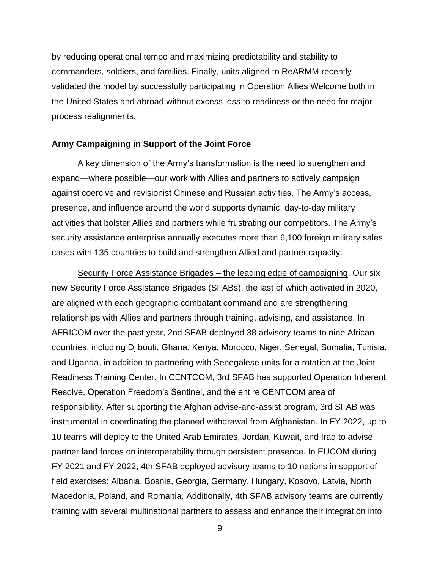by reducing operational tempo and maximizing predictability and stability to commanders, soldiers, and families. Finally, units aligned to ReARMM recently validated the model by successfully participating in Operation Allies Welcome both in the United States and abroad without excess loss to readiness or the need for major process realignments.

#### **Army Campaigning in Support of the Joint Force**

A key dimension of the Army's transformation is the need to strengthen and expand—where possible—our work with Allies and partners to actively campaign against coercive and revisionist Chinese and Russian activities. The Army's access, presence, and influence around the world supports dynamic, day-to-day military activities that bolster Allies and partners while frustrating our competitors. The Army's security assistance enterprise annually executes more than 6,100 foreign military sales cases with 135 countries to build and strengthen Allied and partner capacity.

Security Force Assistance Brigades – the leading edge of campaigning. Our six new Security Force Assistance Brigades (SFABs), the last of which activated in 2020, are aligned with each geographic combatant command and are strengthening relationships with Allies and partners through training, advising, and assistance. In AFRICOM over the past year, 2nd SFAB deployed 38 advisory teams to nine African countries, including Djibouti, Ghana, Kenya, Morocco, Niger, Senegal, Somalia, Tunisia, and Uganda, in addition to partnering with Senegalese units for a rotation at the Joint Readiness Training Center. In CENTCOM, 3rd SFAB has supported Operation Inherent Resolve, Operation Freedom's Sentinel, and the entire CENTCOM area of responsibility. After supporting the Afghan advise-and-assist program, 3rd SFAB was instrumental in coordinating the planned withdrawal from Afghanistan. In FY 2022, up to 10 teams will deploy to the United Arab Emirates, Jordan, Kuwait, and Iraq to advise partner land forces on interoperability through persistent presence. In EUCOM during FY 2021 and FY 2022, 4th SFAB deployed advisory teams to 10 nations in support of field exercises: Albania, Bosnia, Georgia, Germany, Hungary, Kosovo, Latvia, North Macedonia, Poland, and Romania. Additionally, 4th SFAB advisory teams are currently training with several multinational partners to assess and enhance their integration into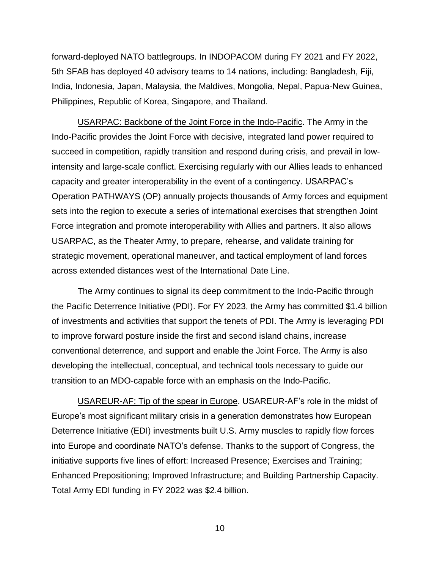forward-deployed NATO battlegroups. In INDOPACOM during FY 2021 and FY 2022, 5th SFAB has deployed 40 advisory teams to 14 nations, including: Bangladesh, Fiji, India, Indonesia, Japan, Malaysia, the Maldives, Mongolia, Nepal, Papua-New Guinea, Philippines, Republic of Korea, Singapore, and Thailand.

USARPAC: Backbone of the Joint Force in the Indo-Pacific. The Army in the Indo-Pacific provides the Joint Force with decisive, integrated land power required to succeed in competition, rapidly transition and respond during crisis, and prevail in lowintensity and large-scale conflict. Exercising regularly with our Allies leads to enhanced capacity and greater interoperability in the event of a contingency. USARPAC's Operation PATHWAYS (OP) annually projects thousands of Army forces and equipment sets into the region to execute a series of international exercises that strengthen Joint Force integration and promote interoperability with Allies and partners. It also allows USARPAC, as the Theater Army, to prepare, rehearse, and validate training for strategic movement, operational maneuver, and tactical employment of land forces across extended distances west of the International Date Line.

The Army continues to signal its deep commitment to the Indo-Pacific through the Pacific Deterrence Initiative (PDI). For FY 2023, the Army has committed \$1.4 billion of investments and activities that support the tenets of PDI. The Army is leveraging PDI to improve forward posture inside the first and second island chains, increase conventional deterrence, and support and enable the Joint Force. The Army is also developing the intellectual, conceptual, and technical tools necessary to guide our transition to an MDO-capable force with an emphasis on the Indo-Pacific.

USAREUR-AF: Tip of the spear in Europe. USAREUR-AF's role in the midst of Europe's most significant military crisis in a generation demonstrates how European Deterrence Initiative (EDI) investments built U.S. Army muscles to rapidly flow forces into Europe and coordinate NATO's defense. Thanks to the support of Congress, the initiative supports five lines of effort: Increased Presence; Exercises and Training; Enhanced Prepositioning; Improved Infrastructure; and Building Partnership Capacity. Total Army EDI funding in FY 2022 was \$2.4 billion.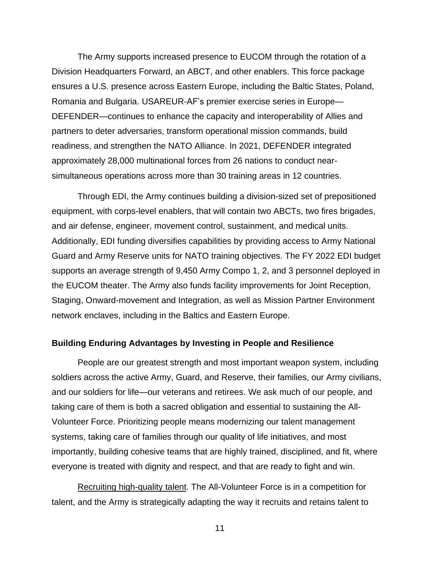The Army supports increased presence to EUCOM through the rotation of a Division Headquarters Forward, an ABCT, and other enablers. This force package ensures a U.S. presence across Eastern Europe, including the Baltic States, Poland, Romania and Bulgaria. USAREUR-AF's premier exercise series in Europe— DEFENDER—continues to enhance the capacity and interoperability of Allies and partners to deter adversaries, transform operational mission commands, build readiness, and strengthen the NATO Alliance. In 2021, DEFENDER integrated approximately 28,000 multinational forces from 26 nations to conduct nearsimultaneous operations across more than 30 training areas in 12 countries.

Through EDI, the Army continues building a division-sized set of prepositioned equipment, with corps-level enablers, that will contain two ABCTs, two fires brigades, and air defense, engineer, movement control, sustainment, and medical units. Additionally, EDI funding diversifies capabilities by providing access to Army National Guard and Army Reserve units for NATO training objectives. The FY 2022 EDI budget supports an average strength of 9,450 Army Compo 1, 2, and 3 personnel deployed in the EUCOM theater. The Army also funds facility improvements for Joint Reception, Staging, Onward-movement and Integration, as well as Mission Partner Environment network enclaves, including in the Baltics and Eastern Europe.

#### **Building Enduring Advantages by Investing in People and Resilience**

People are our greatest strength and most important weapon system, including soldiers across the active Army, Guard, and Reserve, their families, our Army civilians, and our soldiers for life—our veterans and retirees. We ask much of our people, and taking care of them is both a sacred obligation and essential to sustaining the All-Volunteer Force. Prioritizing people means modernizing our talent management systems, taking care of families through our quality of life initiatives, and most importantly, building cohesive teams that are highly trained, disciplined, and fit, where everyone is treated with dignity and respect, and that are ready to fight and win.

Recruiting high-quality talent. The All-Volunteer Force is in a competition for talent, and the Army is strategically adapting the way it recruits and retains talent to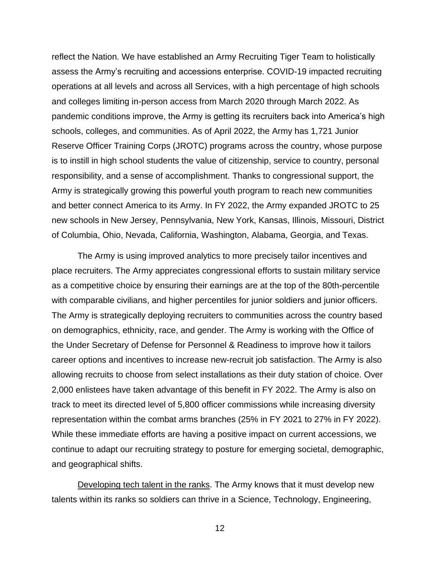reflect the Nation. We have established an Army Recruiting Tiger Team to holistically assess the Army's recruiting and accessions enterprise. COVID-19 impacted recruiting operations at all levels and across all Services, with a high percentage of high schools and colleges limiting in-person access from March 2020 through March 2022. As pandemic conditions improve, the Army is getting its recruiters back into America's high schools, colleges, and communities. As of April 2022, the Army has 1,721 Junior Reserve Officer Training Corps (JROTC) programs across the country, whose purpose is to instill in high school students the value of citizenship, service to country, personal responsibility, and a sense of accomplishment. Thanks to congressional support, the Army is strategically growing this powerful youth program to reach new communities and better connect America to its Army. In FY 2022, the Army expanded JROTC to 25 new schools in New Jersey, Pennsylvania, New York, Kansas, Illinois, Missouri, District of Columbia, Ohio, Nevada, California, Washington, Alabama, Georgia, and Texas.

The Army is using improved analytics to more precisely tailor incentives and place recruiters. The Army appreciates congressional efforts to sustain military service as a competitive choice by ensuring their earnings are at the top of the 80th-percentile with comparable civilians, and higher percentiles for junior soldiers and junior officers. The Army is strategically deploying recruiters to communities across the country based on demographics, ethnicity, race, and gender. The Army is working with the Office of the Under Secretary of Defense for Personnel & Readiness to improve how it tailors career options and incentives to increase new-recruit job satisfaction. The Army is also allowing recruits to choose from select installations as their duty station of choice. Over 2,000 enlistees have taken advantage of this benefit in FY 2022. The Army is also on track to meet its directed level of 5,800 officer commissions while increasing diversity representation within the combat arms branches (25% in FY 2021 to 27% in FY 2022). While these immediate efforts are having a positive impact on current accessions, we continue to adapt our recruiting strategy to posture for emerging societal, demographic, and geographical shifts.

Developing tech talent in the ranks. The Army knows that it must develop new talents within its ranks so soldiers can thrive in a Science, Technology, Engineering,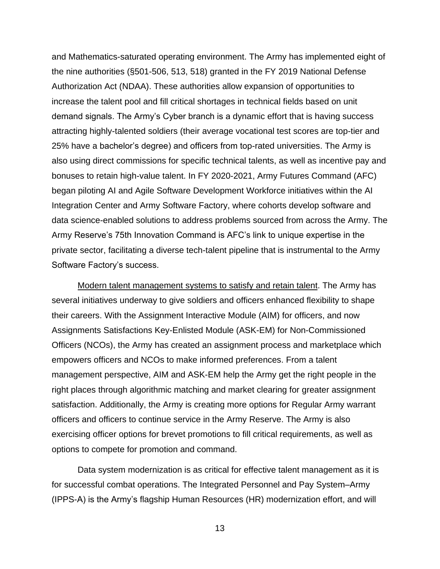and Mathematics-saturated operating environment. The Army has implemented eight of the nine authorities (§501-506, 513, 518) granted in the FY 2019 National Defense Authorization Act (NDAA). These authorities allow expansion of opportunities to increase the talent pool and fill critical shortages in technical fields based on unit demand signals. The Army's Cyber branch is a dynamic effort that is having success attracting highly-talented soldiers (their average vocational test scores are top-tier and 25% have a bachelor's degree) and officers from top-rated universities. The Army is also using direct commissions for specific technical talents, as well as incentive pay and bonuses to retain high-value talent. In FY 2020-2021, Army Futures Command (AFC) began piloting AI and Agile Software Development Workforce initiatives within the AI Integration Center and Army Software Factory, where cohorts develop software and data science-enabled solutions to address problems sourced from across the Army. The Army Reserve's 75th Innovation Command is AFC's link to unique expertise in the private sector, facilitating a diverse tech-talent pipeline that is instrumental to the Army Software Factory's success.

Modern talent management systems to satisfy and retain talent. The Army has several initiatives underway to give soldiers and officers enhanced flexibility to shape their careers. With the Assignment Interactive Module (AIM) for officers, and now Assignments Satisfactions Key-Enlisted Module (ASK-EM) for Non-Commissioned Officers (NCOs), the Army has created an assignment process and marketplace which empowers officers and NCOs to make informed preferences. From a talent management perspective, AIM and ASK-EM help the Army get the right people in the right places through algorithmic matching and market clearing for greater assignment satisfaction. Additionally, the Army is creating more options for Regular Army warrant officers and officers to continue service in the Army Reserve. The Army is also exercising officer options for brevet promotions to fill critical requirements, as well as options to compete for promotion and command.

Data system modernization is as critical for effective talent management as it is for successful combat operations. The Integrated Personnel and Pay System–Army (IPPS-A) is the Army's flagship Human Resources (HR) modernization effort, and will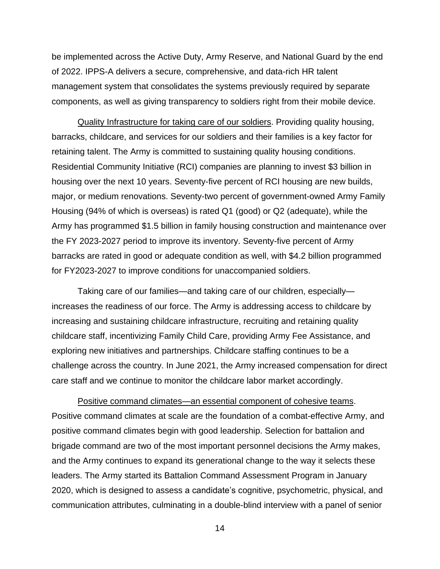be implemented across the Active Duty, Army Reserve, and National Guard by the end of 2022. IPPS-A delivers a secure, comprehensive, and data-rich HR talent management system that consolidates the systems previously required by separate components, as well as giving transparency to soldiers right from their mobile device.

Quality Infrastructure for taking care of our soldiers. Providing quality housing, barracks, childcare, and services for our soldiers and their families is a key factor for retaining talent. The Army is committed to sustaining quality housing conditions. Residential Community Initiative (RCI) companies are planning to invest \$3 billion in housing over the next 10 years. Seventy-five percent of RCI housing are new builds, major, or medium renovations. Seventy-two percent of government-owned Army Family Housing (94% of which is overseas) is rated Q1 (good) or Q2 (adequate), while the Army has programmed \$1.5 billion in family housing construction and maintenance over the FY 2023-2027 period to improve its inventory. Seventy-five percent of Army barracks are rated in good or adequate condition as well, with \$4.2 billion programmed for FY2023-2027 to improve conditions for unaccompanied soldiers.

Taking care of our families—and taking care of our children, especially increases the readiness of our force. The Army is addressing access to childcare by increasing and sustaining childcare infrastructure, recruiting and retaining quality childcare staff, incentivizing Family Child Care, providing Army Fee Assistance, and exploring new initiatives and partnerships. Childcare staffing continues to be a challenge across the country. In June 2021, the Army increased compensation for direct care staff and we continue to monitor the childcare labor market accordingly.

Positive command climates—an essential component of cohesive teams. Positive command climates at scale are the foundation of a combat-effective Army, and positive command climates begin with good leadership. Selection for battalion and brigade command are two of the most important personnel decisions the Army makes, and the Army continues to expand its generational change to the way it selects these leaders. The Army started its Battalion Command Assessment Program in January 2020, which is designed to assess a candidate's cognitive, psychometric, physical, and communication attributes, culminating in a double-blind interview with a panel of senior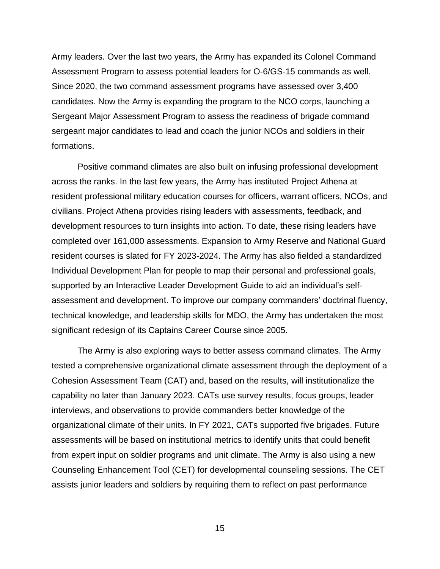Army leaders. Over the last two years, the Army has expanded its Colonel Command Assessment Program to assess potential leaders for O-6/GS-15 commands as well. Since 2020, the two command assessment programs have assessed over 3,400 candidates. Now the Army is expanding the program to the NCO corps, launching a Sergeant Major Assessment Program to assess the readiness of brigade command sergeant major candidates to lead and coach the junior NCOs and soldiers in their formations.

Positive command climates are also built on infusing professional development across the ranks. In the last few years, the Army has instituted Project Athena at resident professional military education courses for officers, warrant officers, NCOs, and civilians. Project Athena provides rising leaders with assessments, feedback, and development resources to turn insights into action. To date, these rising leaders have completed over 161,000 assessments. Expansion to Army Reserve and National Guard resident courses is slated for FY 2023-2024. The Army has also fielded a standardized Individual Development Plan for people to map their personal and professional goals, supported by an Interactive Leader Development Guide to aid an individual's selfassessment and development. To improve our company commanders' doctrinal fluency, technical knowledge, and leadership skills for MDO, the Army has undertaken the most significant redesign of its Captains Career Course since 2005.

The Army is also exploring ways to better assess command climates. The Army tested a comprehensive organizational climate assessment through the deployment of a Cohesion Assessment Team (CAT) and, based on the results, will institutionalize the capability no later than January 2023. CATs use survey results, focus groups, leader interviews, and observations to provide commanders better knowledge of the organizational climate of their units. In FY 2021, CATs supported five brigades. Future assessments will be based on institutional metrics to identify units that could benefit from expert input on soldier programs and unit climate. The Army is also using a new Counseling Enhancement Tool (CET) for developmental counseling sessions. The CET assists junior leaders and soldiers by requiring them to reflect on past performance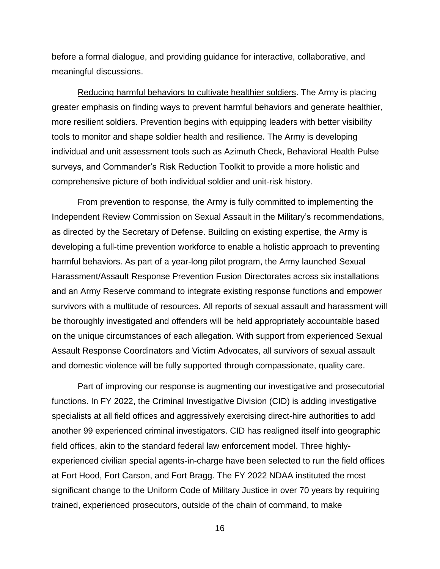before a formal dialogue, and providing guidance for interactive, collaborative, and meaningful discussions.

Reducing harmful behaviors to cultivate healthier soldiers. The Army is placing greater emphasis on finding ways to prevent harmful behaviors and generate healthier, more resilient soldiers. Prevention begins with equipping leaders with better visibility tools to monitor and shape soldier health and resilience. The Army is developing individual and unit assessment tools such as Azimuth Check, Behavioral Health Pulse surveys, and Commander's Risk Reduction Toolkit to provide a more holistic and comprehensive picture of both individual soldier and unit-risk history.

From prevention to response, the Army is fully committed to implementing the Independent Review Commission on Sexual Assault in the Military's recommendations, as directed by the Secretary of Defense. Building on existing expertise, the Army is developing a full-time prevention workforce to enable a holistic approach to preventing harmful behaviors. As part of a year-long pilot program, the Army launched Sexual Harassment/Assault Response Prevention Fusion Directorates across six installations and an Army Reserve command to integrate existing response functions and empower survivors with a multitude of resources. All reports of sexual assault and harassment will be thoroughly investigated and offenders will be held appropriately accountable based on the unique circumstances of each allegation. With support from experienced Sexual Assault Response Coordinators and Victim Advocates, all survivors of sexual assault and domestic violence will be fully supported through compassionate, quality care.

Part of improving our response is augmenting our investigative and prosecutorial functions. In FY 2022, the Criminal Investigative Division (CID) is adding investigative specialists at all field offices and aggressively exercising direct-hire authorities to add another 99 experienced criminal investigators. CID has realigned itself into geographic field offices, akin to the standard federal law enforcement model. Three highlyexperienced civilian special agents-in-charge have been selected to run the field offices at Fort Hood, Fort Carson, and Fort Bragg. The FY 2022 NDAA instituted the most significant change to the Uniform Code of Military Justice in over 70 years by requiring trained, experienced prosecutors, outside of the chain of command, to make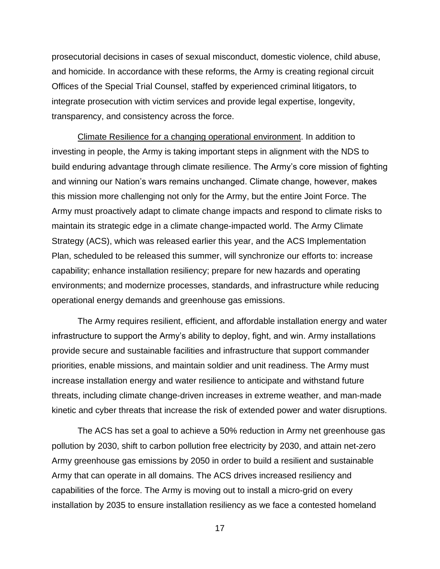prosecutorial decisions in cases of sexual misconduct, domestic violence, child abuse, and homicide. In accordance with these reforms, the Army is creating regional circuit Offices of the Special Trial Counsel, staffed by experienced criminal litigators, to integrate prosecution with victim services and provide legal expertise, longevity, transparency, and consistency across the force.

Climate Resilience for a changing operational environment. In addition to investing in people, the Army is taking important steps in alignment with the NDS to build enduring advantage through climate resilience. The Army's core mission of fighting and winning our Nation's wars remains unchanged. Climate change, however, makes this mission more challenging not only for the Army, but the entire Joint Force. The Army must proactively adapt to climate change impacts and respond to climate risks to maintain its strategic edge in a climate change-impacted world. The Army Climate Strategy (ACS), which was released earlier this year, and the ACS Implementation Plan, scheduled to be released this summer, will synchronize our efforts to: increase capability; enhance installation resiliency; prepare for new hazards and operating environments; and modernize processes, standards, and infrastructure while reducing operational energy demands and greenhouse gas emissions.

The Army requires resilient, efficient, and affordable installation energy and water infrastructure to support the Army's ability to deploy, fight, and win. Army installations provide secure and sustainable facilities and infrastructure that support commander priorities, enable missions, and maintain soldier and unit readiness. The Army must increase installation energy and water resilience to anticipate and withstand future threats, including climate change-driven increases in extreme weather, and man-made kinetic and cyber threats that increase the risk of extended power and water disruptions.

The ACS has set a goal to achieve a 50% reduction in Army net greenhouse gas pollution by 2030, shift to carbon pollution free electricity by 2030, and attain net-zero Army greenhouse gas emissions by 2050 in order to build a resilient and sustainable Army that can operate in all domains. The ACS drives increased resiliency and capabilities of the force. The Army is moving out to install a micro-grid on every installation by 2035 to ensure installation resiliency as we face a contested homeland